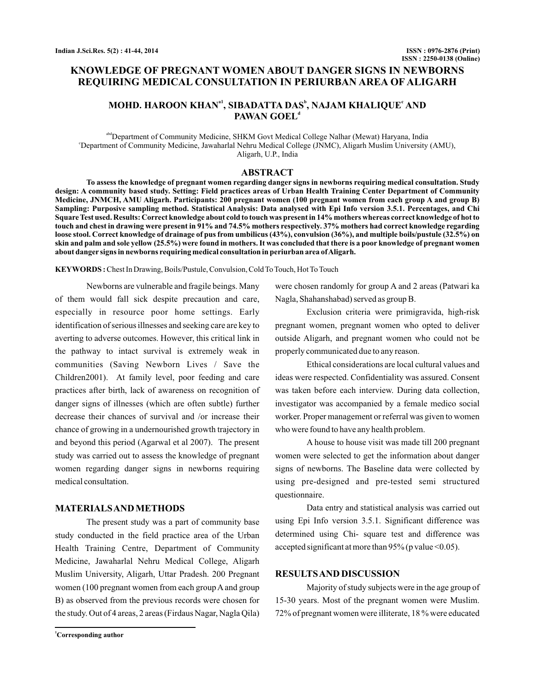# **KNOWLEDGE OF PREGNANT WOMEN ABOUT DANGER SIGNS IN NEWBORNS REQUIRING MEDICAL CONSULTATION IN PERIURBAN AREA OF ALIGARH**

## **MOHD. HAROON KHAN , SIBADATTA DAS , NAJAM KHALIQUE AND a1 b c PAWAN GOEL d**

<sup>abd</sup>Department of Community Medicine, SHKM Govt Medical College Nalhar (Mewat) Haryana, India c Department of Community Medicine, Jawaharlal Nehru Medical College (JNMC), Aligarh Muslim University (AMU), Aligarh, U.P., India

#### **ABSTRACT**

**To assess the knowledge of pregnant women regarding danger signs in newborns requiring medical consultation. Study design: A community based study. Setting: Field practices areas of Urban Health Training Center Department of Community Medicine, JNMCH, AMU Aligarh. Participants: 200 pregnant women (100 pregnant women from each group A and group B) Sampling: Purposive sampling method. Statistical Analysis: Data analysed with Epi Info version 3.5.1. Percentages, and Chi Square Test used. Results: Correct knowledge about cold to touch was present in 14% mothers whereas correct knowledge of hot to touch and chest in drawing were present in 91% and 74.5% mothers respectively. 37% mothers had correct knowledge regarding loose stool. Correct knowledge of drainage of pus from umbilicus (43%), convulsion (36%), and multiple boils/pustule (32.5%) on skin and palm and sole yellow (25.5%) were found in mothers. It was concluded that there is a poor knowledge of pregnant women about danger signs in newborns requiring medical consultation in periurban area ofAligarh.**

**KEYWORDS :**Chest In Drawing, Boils/Pustule, Convulsion, Cold To Touch, Hot To Touch

Newborns are vulnerable and fragile beings. Many of them would fall sick despite precaution and care, especially in resource poor home settings. Early identification of serious illnesses and seeking care are key to averting to adverse outcomes. However, this critical link in the pathway to intact survival is extremely weak in communities (Saving Newborn Lives / Save the Children2001). At family level, poor feeding and care practices after birth, lack of awareness on recognition of danger signs of illnesses (which are often subtle) further decrease their chances of survival and /or increase their chance of growing in a undernourished growth trajectory in and beyond this period (Agarwal et al 2007). The present study was carried out to assess the knowledge of pregnant women regarding danger signs in newborns requiring medical consultation.

### **MATERIALSAND METHODS**

The present study was a part of community base study conducted in the field practice area of the Urban Health Training Centre, Department of Community Medicine, Jawaharlal Nehru Medical College, Aligarh Muslim University, Aligarh, Uttar Pradesh. 200 Pregnant women (100 pregnant women from each group A and group B) as observed from the previous records were chosen for the study. Out of 4 areas, 2 areas (Firdaus Nagar, Nagla Qila) Nagla, Shahanshabad) served as group B. Exclusion criteria were primigravida, high-risk

pregnant women, pregnant women who opted to deliver outside Aligarh, and pregnant women who could not be properly communicated due to any reason.

were chosen randomly for group A and 2 areas (Patwari ka

Ethical considerations are local cultural values and ideas were respected. Confidentiality was assured. Consent was taken before each interview. During data collection, investigator was accompanied by a female medico social worker. Proper management or referral was given to women who were found to have any health problem.

A house to house visit was made till 200 pregnant women were selected to get the information about danger signs of newborns. The Baseline data were collected by using pre-designed and pre-tested semi structured questionnaire.

Data entry and statistical analysis was carried out using Epi Info version 3.5.1. Significant difference was determined using Chi- square test and difference was accepted significant at more than  $95\%$  (p value <0.05).

### **RESULTSAND DISCUSSION**

Majority of study subjects were in the age group of 15-30 years. Most of the pregnant women were Muslim. 72% of pregnant women were illiterate, 18 % were educated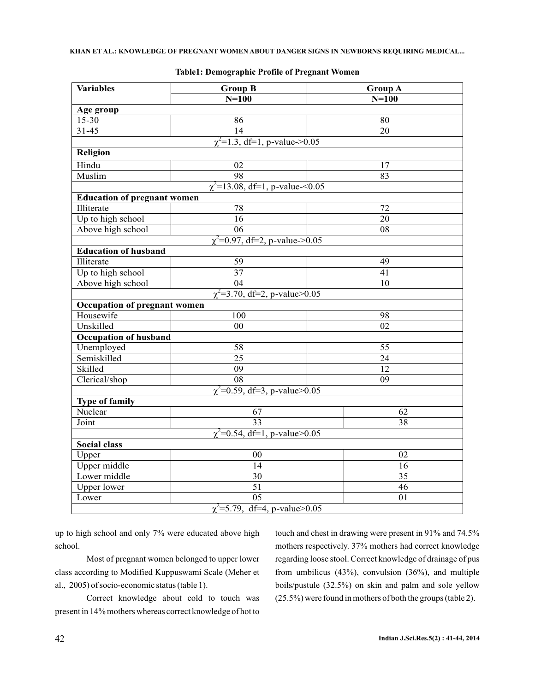| <b>Variables</b>                           | <b>Group B</b>                     | <b>Group A</b>  |  |  |  |  |
|--------------------------------------------|------------------------------------|-----------------|--|--|--|--|
|                                            | $N=100$                            | $N=100$         |  |  |  |  |
| Age group                                  |                                    |                 |  |  |  |  |
| 15-30                                      | 86                                 | 80              |  |  |  |  |
| $31 - 45$                                  | 14                                 | 20              |  |  |  |  |
| $\chi^2$ =1.3, df=1, p-value->0.05         |                                    |                 |  |  |  |  |
| <b>Religion</b>                            |                                    |                 |  |  |  |  |
| Hindu                                      | 02                                 | 17              |  |  |  |  |
| Muslim                                     | 98                                 | 83              |  |  |  |  |
| $\chi^2$ =13.08, df=1, p-value-<0.05       |                                    |                 |  |  |  |  |
| <b>Education of pregnant women</b>         |                                    |                 |  |  |  |  |
| Illiterate                                 | 78                                 | 72              |  |  |  |  |
| Up to high school                          | 16                                 | $\overline{20}$ |  |  |  |  |
| Above high school                          | $\overline{06}$                    | 08              |  |  |  |  |
| $\sqrt{\chi^2}$ =0.97, df=2, p-value->0.05 |                                    |                 |  |  |  |  |
| <b>Education of husband</b>                |                                    |                 |  |  |  |  |
| Illiterate                                 | 59                                 | 49              |  |  |  |  |
| Up to high school                          | $\overline{37}$                    | 41              |  |  |  |  |
| Above high school                          | $\overline{04}$                    | 10              |  |  |  |  |
|                                            | $\chi^2$ =3.70, df=2, p-value>0.05 |                 |  |  |  |  |
| <b>Occupation of pregnant women</b>        |                                    |                 |  |  |  |  |
| Housewife                                  | 100                                | 98              |  |  |  |  |
| Unskilled                                  | 00                                 | 02              |  |  |  |  |
| <b>Occupation of husband</b>               |                                    |                 |  |  |  |  |
| Unemployed                                 | 58                                 | 55              |  |  |  |  |
| Semiskilled                                | $\overline{25}$                    | $\overline{24}$ |  |  |  |  |
| Skilled                                    | $\overline{09}$                    | 12              |  |  |  |  |
| Clerical/shop                              | $\overline{08}$                    | $\overline{09}$ |  |  |  |  |
| $\chi^2$ =0.59, df=3, p-value>0.05         |                                    |                 |  |  |  |  |
| <b>Type of family</b>                      |                                    |                 |  |  |  |  |
| Nuclear                                    | 67                                 | 62              |  |  |  |  |
| Joint                                      | 33                                 | 38              |  |  |  |  |
| $\chi^2$ =0.54, df=1, p-value>0.05         |                                    |                 |  |  |  |  |
| Social class                               |                                    |                 |  |  |  |  |
| Upper                                      | 00                                 | 02              |  |  |  |  |
| Upper middle                               | 14                                 | 16              |  |  |  |  |
| Lower middle                               | 30                                 | 35              |  |  |  |  |
| <b>Upper lower</b>                         | 51                                 | 46              |  |  |  |  |
| Lower                                      | 05                                 | 01              |  |  |  |  |
| $\chi^2$ =5.79, df=4, p-value>0.05         |                                    |                 |  |  |  |  |

**Table1: Demographic Profile of Pregnant Women**

up to high school and only 7% were educated above high school.

Most of pregnant women belonged to upper lower class according to Modified Kuppuswami Scale (Meher et al., 2005) of socio-economic status (table 1).

Correct knowledge about cold to touch was present in 14% mothers whereas correct knowledge of hot to touch and chest in drawing were present in 91% and 74.5% mothers respectively. 37% mothers had correct knowledge regarding loose stool. Correct knowledge of drainage of pus from umbilicus (43%), convulsion (36%), and multiple boils/pustule (32.5%) on skin and palm and sole yellow (25.5%) were found in mothers of both the groups (table 2).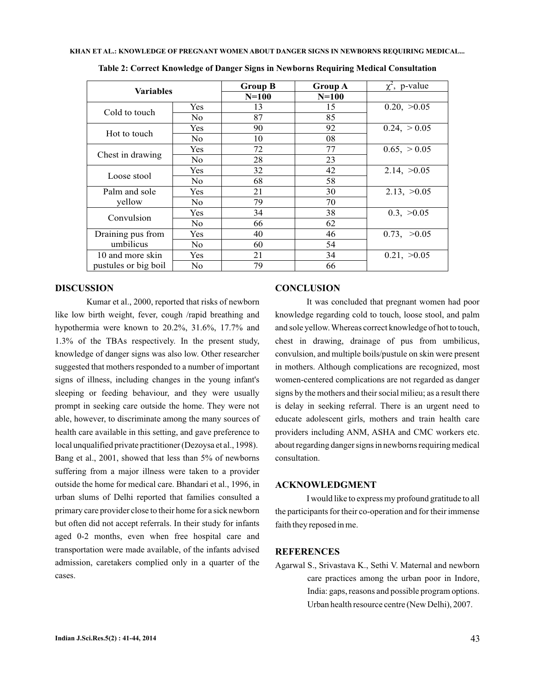| <b>Variables</b>     |                | <b>Group B</b> | <b>Group A</b> | $\chi^2$ , p-value |
|----------------------|----------------|----------------|----------------|--------------------|
|                      |                | $N=100$        | $N=100$        |                    |
| Cold to touch        | Yes            | 13             | 15             | 0.20, >0.05        |
|                      | No.            | 87             | 85             |                    |
| Hot to touch         | Yes            | 90             | 92             | 0.24, > 0.05       |
|                      | No.            | 10             | 08             |                    |
| Chest in drawing     | Yes            | 72             | 77             | 0.65, > 0.05       |
|                      | N <sub>o</sub> | 28             | 23             |                    |
| Loose stool          | Yes            | 32             | 42             | 2.14, >0.05        |
|                      | No.            | 68             | 58             |                    |
| Palm and sole        | Yes            | 21             | 30             | 2.13, >0.05        |
| yellow               | No.            | 79             | 70             |                    |
| Convulsion           | Yes            | 34             | 38             | 0.3, >0.05         |
|                      | No.            | 66             | 62             |                    |
| Draining pus from    | Yes            | 40             | 46             | 0.73, >0.05        |
| umbilicus            | No.            | 60             | 54             |                    |
| 10 and more skin     | Yes            | 21             | 34             | 0.21, >0.05        |
| pustules or big boil | N <sub>o</sub> | 79             | 66             |                    |

**Table 2: Correct Knowledge of Danger Signs in Newborns Requiring Medical Consultation**

### **DISCUSSION**

Kumar et al., 2000, reported that risks of newborn like low birth weight, fever, cough /rapid breathing and hypothermia were known to 20.2%, 31.6%, 17.7% and 1.3% of the TBAs respectively. In the present study, knowledge of danger signs was also low. Other researcher suggested that mothers responded to a number of important signs of illness, including changes in the young infant's sleeping or feeding behaviour, and they were usually prompt in seeking care outside the home. They were not able, however, to discriminate among the many sources of health care available in this setting, and gave preference to local unqualified private practitioner (Dezoysa et al., 1998). Bang et al., 2001, showed that less than 5% of newborns suffering from a major illness were taken to a provider outside the home for medical care. Bhandari et al., 1996, in urban slums of Delhi reported that families consulted a primary care provider close to their home for a sick newborn but often did not accept referrals. In their study for infants aged 0-2 months, even when free hospital care and transportation were made available, of the infants advised admission, caretakers complied only in a quarter of the cases.

### **CONCLUSION**

It was concluded that pregnant women had poor knowledge regarding cold to touch, loose stool, and palm and sole yellow. Whereas correct knowledge of hot to touch, chest in drawing, drainage of pus from umbilicus, convulsion, and multiple boils/pustule on skin were present in mothers. Although complications are recognized, most women-centered complications are not regarded as danger signs by the mothers and their social milieu; as a result there is delay in seeking referral. There is an urgent need to educate adolescent girls, mothers and train health care providers including ANM, ASHA and CMC workers etc. about regarding danger signs in newborns requiring medical consultation.

### **ACKNOWLEDGMENT**

I would like to express my profound gratitude to all the participants for their co-operation and for their immense faith they reposed in me.

## **REFERENCES**

Agarwal S., Srivastava K., Sethi V. Maternal and newborn care practices among the urban poor in Indore, India: gaps, reasons and possible program options. Urban health resource centre (New Delhi), 2007.